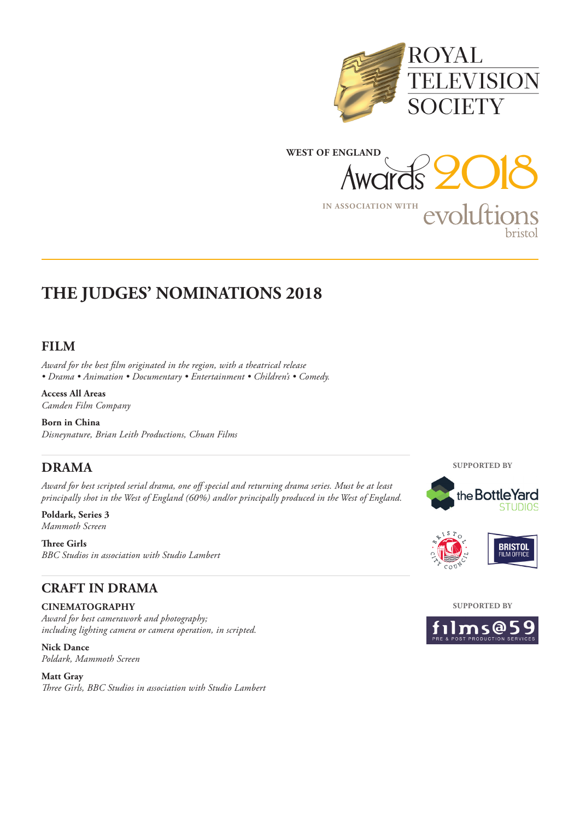



### **FILM**

*Award for the best film originated in the region, with a theatrical release • Drama • Animation • Documentary • Entertainment • Children's • Comedy.*

**Access All Areas** *Camden Film Company*

**Born in China** *Disneynature, Brian Leith Productions, Chuan Films*

## **DRAMA**

*Award for best scripted serial drama, one off special and returning drama series. Must be at least principally shot in the West of England (60%) and/or principally produced in the West of England.*

**Poldark, Series 3** *Mammoth Screen*

**Three Girls** *BBC Studios in association with Studio Lambert*

## **CRAFT IN DRAMA**

**CINEMATOGRAPHY** 

*Award for best camerawork and photography; including lighting camera or camera operation, in scripted.* 

**Nick Dance** *Poldark, Mammoth Screen*

**Matt Gray** *Three Girls, BBC Studios in association with Studio Lambert* **SUPPORTED BY**





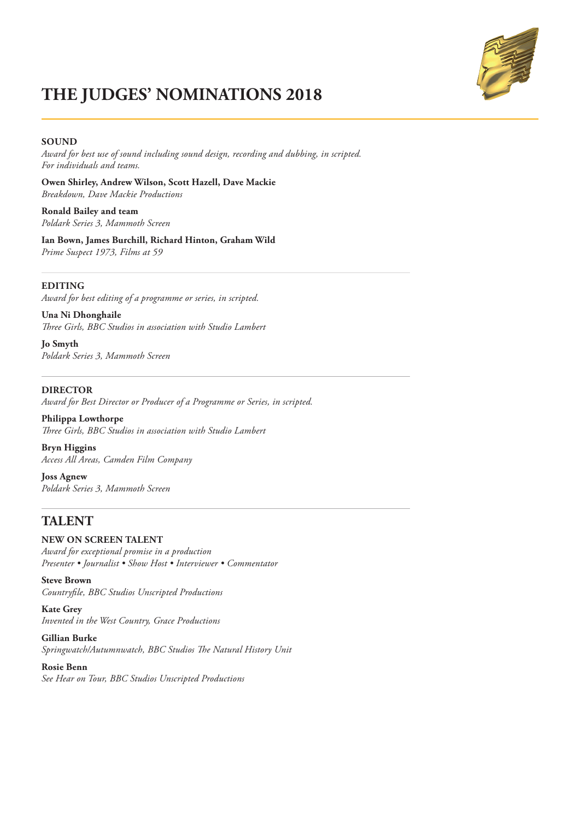

#### **SOUND**

*Award for best use of sound including sound design, recording and dubbing, in scripted. For individuals and teams.*

**Owen Shirley, Andrew Wilson, Scott Hazell, Dave Mackie** *Breakdown, Dave Mackie Productions*

**Ronald Bailey and team** *Poldark Series 3, Mammoth Screen*

**Ian Bown, James Burchill, Richard Hinton, Graham Wild** *Prime Suspect 1973, Films at 59*

#### **EDITING**

*Award for best editing of a programme or series, in scripted.*

**Una Ni Dhonghaile** *Three Girls, BBC Studios in association with Studio Lambert*

**Jo Smyth** *Poldark Series 3, Mammoth Screen* 

#### **DIRECTOR**

*Award for Best Director or Producer of a Programme or Series, in scripted.*

**Philippa Lowthorpe** *Three Girls, BBC Studios in association with Studio Lambert*

**Bryn Higgins** *Access All Areas, Camden Film Company*

**Joss Agnew** *Poldark Series 3, Mammoth Screen*

### **TALENT**

#### **NEW ON SCREEN TALENT**

*Award for exceptional promise in a production Presenter • Journalist • Show Host • Interviewer • Commentator*

**Steve Brown** *Countryfile, BBC Studios Unscripted Productions*

**Kate Grey** *Invented in the West Country, Grace Productions*

**Gillian Burke**  *Springwatch/Autumnwatch, BBC Studios The Natural History Unit*

## **Rosie Benn**

*See Hear on Tour, BBC Studios Unscripted Productions*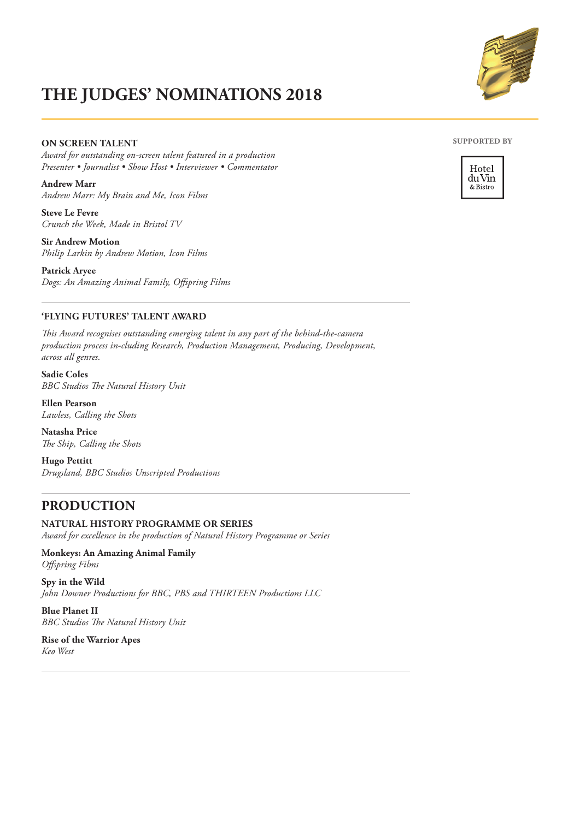### **ON SCREEN TALENT**

*Award for outstanding on-screen talent featured in a production Presenter • Journalist • Show Host • Interviewer • Commentator*

**Andrew Marr** *Andrew Marr: My Brain and Me, Icon Films*

**Steve Le Fevre** *Crunch the Week, Made in Bristol TV*

**Sir Andrew Motion**  *Philip Larkin by Andrew Motion, Icon Films*

**Patrick Aryee** *Dogs: An Amazing Animal Family, Offspring Films*

### **'FLYING FUTURES' TALENT AWARD**

*This Award recognises outstanding emerging talent in any part of the behind-the-camera production process in-cluding Research, Production Management, Producing, Development, across all genres.*

**Sadie Coles** *BBC Studios The Natural History Unit*

**Ellen Pearson** *Lawless, Calling the Shots*

**Natasha Price** *The Ship, Calling the Shots*

**Hugo Pettitt** *Drugsland, BBC Studios Unscripted Productions*

## **PRODUCTION**

### **NATURAL HISTORY PROGRAMME OR SERIES**

*Award for excellence in the production of Natural History Programme or Series* 

**Monkeys: An Amazing Animal Family** *Offspring Films*

**Spy in the Wild** *John Downer Productions for BBC, PBS and THIRTEEN Productions LLC*

**Blue Planet II** *BBC Studios The Natural History Unit*

**Rise of the Warrior Apes** *Keo West*





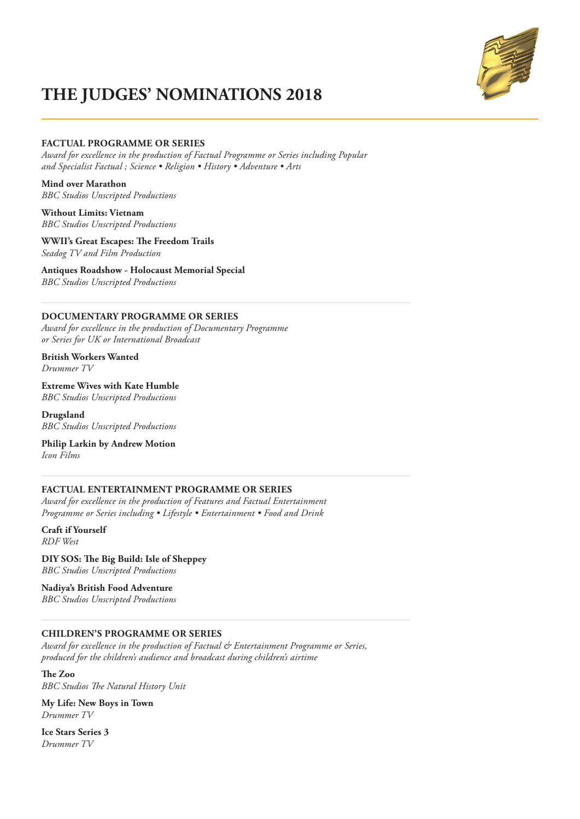

#### **FACTUAL PROGRAMME OR SERIES**

*Award for excellence in the production of Factual Programme or Series including Popular and Specialist Factual ; Science • Religion • History • Adventure • Arts* 

**Mind over Marathon** *BBC Studios Unscripted Productions*

**Without Limits: Vietnam** *BBC Studios Unscripted Productions*

**WWII's Great Escapes: The Freedom Trails** *Seadog TV and Film Production*

**Antiques Roadshow - Holocaust Memorial Special** *BBC Studios Unscripted Productions*

### **DOCUMENTARY PROGRAMME OR SERIES**

*Award for excellence in the production of Documentary Programme or Series for UK or International Broadcast* 

**British Workers Wanted** *Drummer TV*

**Extreme Wives with Kate Humble** *BBC Studios Unscripted Productions*

**Drugsland** *BBC Studios Unscripted Productions*

**Philip Larkin by Andrew Motion** *Icon Films*

#### **FACTUAL ENTERTAINMENT PROGRAMME OR SERIES**

*Award for excellence in the production of Features and Factual Entertainment Programme or Series including • Lifestyle • Entertainment • Food and Drink* 

**Craft if Yourself** *RDF West*

**DIY SOS: The Big Build: Isle of Sheppey** *BBC Studios Unscripted Productions*

**Nadiya's British Food Adventure** *BBC Studios Unscripted Productions*

#### **CHILDREN'S PROGRAMME OR SERIES**

*Award for excellence in the production of Factual & Entertainment Programme or Series, produced for the children's audience and broadcast during children's airtime* 

**The Zoo** *BBC Studios The Natural History Unit*

**My Life: New Boys in Town** *Drummer TV*

**Ice Stars Series 3** *Drummer TV*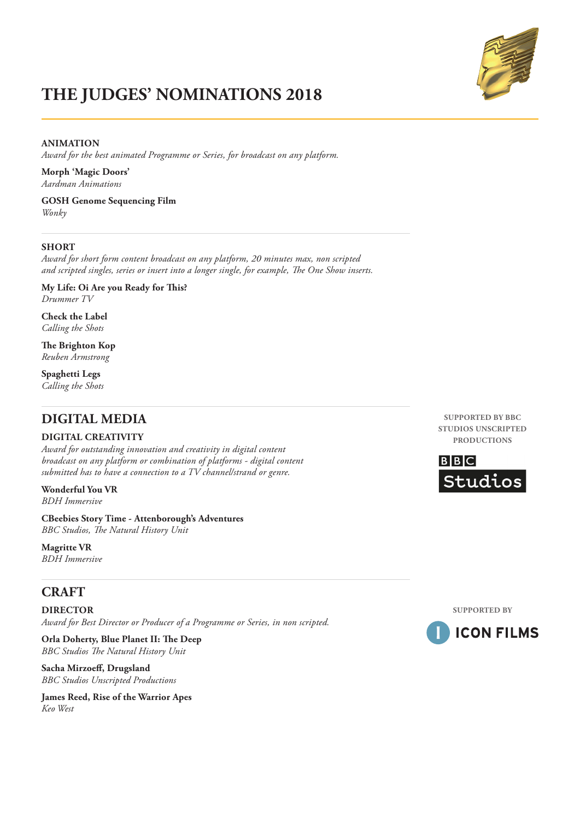### **ANIMATION**

*Award for the best animated Programme or Series, for broadcast on any platform.* 

**Morph 'Magic Doors'** *Aardman Animations*

**GOSH Genome Sequencing Film** *Wonky*

#### **SHORT**

*Award for short form content broadcast on any platform, 20 minutes max, non scripted and scripted singles, series or insert into a longer single, for example, The One Show inserts.* 

**My Life: Oi Are you Ready for This?**  *Drummer TV*

**Check the Label** *Calling the Shots*

**The Brighton Kop** *Reuben Armstrong*

**Spaghetti Legs** *Calling the Shots*

## **DIGITAL MEDIA**

#### **DIGITAL CREATIVITY**

*Award for outstanding innovation and creativity in digital content broadcast on any platform or combination of platforms - digital content submitted has to have a connection to a TV channel/strand or genre.* 

**Wonderful You VR** *BDH Immersive*

**CBeebies Story Time - Attenborough's Adventures** *BBC Studios, The Natural History Unit*

**Magritte VR** *BDH Immersive*

## **CRAFT**

**DIRECTOR**  *Award for Best Director or Producer of a Programme or Series, in non scripted.* 

**Orla Doherty, Blue Planet II: The Deep** *BBC Studios The Natural History Unit*

**Sacha Mirzoeff, Drugsland** *BBC Studios Unscripted Productions*

**James Reed, Rise of the Warrior Apes** *Keo West*

**SUPPORTED BY BBC STUDIOS UNSCRIPTED PRODUCTIONS**





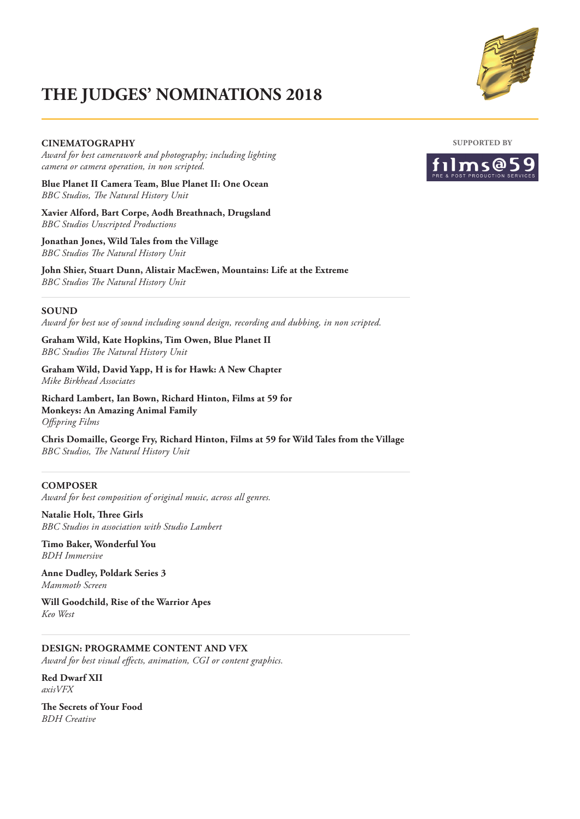

#### **CINEMATOGRAPHY**

*Award for best camerawork and photography; including lighting camera or camera operation, in non scripted.* 

**Blue Planet II Camera Team, Blue Planet II: One Ocean** *BBC Studios, The Natural History Unit*

**Xavier Alford, Bart Corpe, Aodh Breathnach, Drugsland** *BBC Studios Unscripted Productions*

**Jonathan Jones, Wild Tales from the Village** *BBC Studios The Natural History Unit*

**John Shier, Stuart Dunn, Alistair MacEwen, Mountains: Life at the Extreme** *BBC Studios The Natural History Unit*

#### **SOUND**

*Award for best use of sound including sound design, recording and dubbing, in non scripted.* 

**Graham Wild, Kate Hopkins, Tim Owen, Blue Planet II** *BBC Studios The Natural History Unit*

**Graham Wild, David Yapp, H is for Hawk: A New Chapter** *Mike Birkhead Associates*

**Richard Lambert, Ian Bown, Richard Hinton, Films at 59 for Monkeys: An Amazing Animal Family** *Offspring Films* 

**Chris Domaille, George Fry, Richard Hinton, Films at 59 for Wild Tales from the Village** *BBC Studios, The Natural History Unit*

#### **COMPOSER**

*Award for best composition of original music, across all genres.* 

**Natalie Holt, Three Girls** *BBC Studios in association with Studio Lambert*

**Timo Baker, Wonderful You** *BDH Immersive*

**Anne Dudley, Poldark Series 3** *Mammoth Screen*

**Will Goodchild, Rise of the Warrior Apes** *Keo West*

**DESIGN: PROGRAMME CONTENT AND VFX**  *Award for best visual effects, animation, CGI or content graphics.* 

**Red Dwarf XII** *axisVFX*

**The Secrets of Your Food** *BDH Creative*